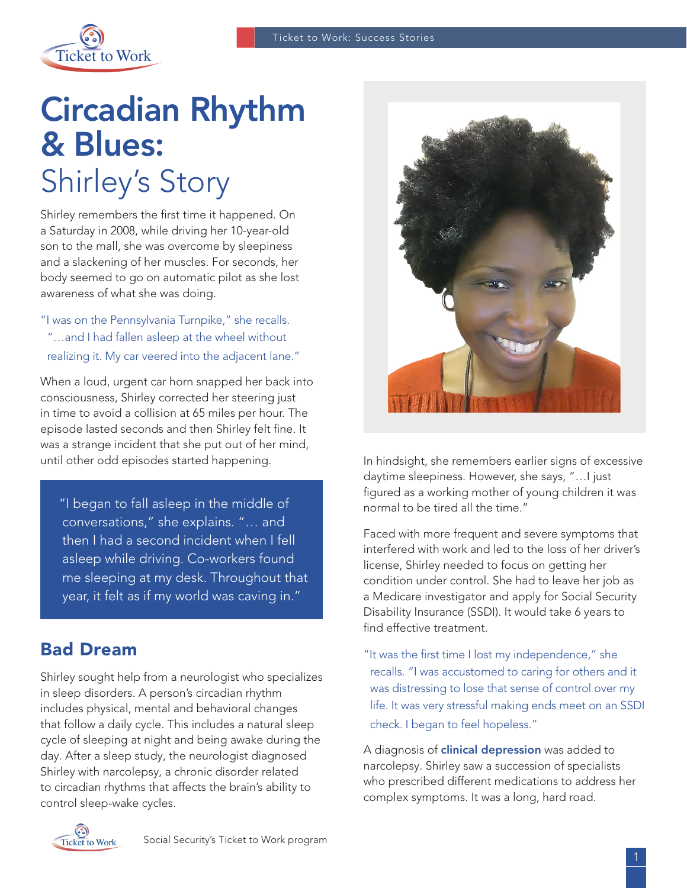

# Circadian Rhythm & Blues: Shirley's Story

Shirley remembers the first time it happened. On a Saturday in 2008, while driving her 10-year-old son to the mall, she was overcome by sleepiness and a slackening of her muscles. For seconds, her body seemed to go on automatic pilot as she lost awareness of what she was doing.

"I was on the Pennsylvania Turnpike," she recalls. "…and I had fallen asleep at the wheel without realizing it. My car veered into the adjacent lane."

When a loud, urgent car horn snapped her back into consciousness, Shirley corrected her steering just in time to avoid a collision at 65 miles per hour. The episode lasted seconds and then Shirley felt fine. It was a strange incident that she put out of her mind, until other odd episodes started happening.

 "I began to fall asleep in the middle of conversations," she explains. "… and then I had a second incident when I fell asleep while driving. Co-workers found me sleeping at my desk. Throughout that year, it felt as if my world was caving in."

## Bad Dream

Shirley sought help from a neurologist who specializes in sleep disorders. A person's circadian rhythm includes physical, mental and behavioral changes that follow a daily cycle. This includes a natural sleep cycle of sleeping at night and being awake during the day. After a sleep study, the neurologist diagnosed Shirley with narcolepsy, a chronic disorder related to circadian rhythms that affects the brain's ability to control sleep-wake cycles.



In hindsight, she remembers earlier signs of excessive daytime sleepiness. However, she says, "…I just figured as a working mother of young children it was normal to be tired all the time."

Faced with more frequent and severe symptoms that interfered with work and led to the loss of her driver's license, Shirley needed to focus on getting her condition under control. She had to leave her job as a Medicare investigator and apply for Social Security Disability Insurance (SSDI). It would take 6 years to find effective treatment.

"It was the first time I lost my independence," she recalls. "I was accustomed to caring for others and it was distressing to lose that sense of control over my life. It was very stressful making ends meet on an SSDI check. I began to feel hopeless."

A diagnosis of **[clinical depression](https://www.nimh.nih.gov/health/topics/depression/index.shtml)** was added to narcolepsy. Shirley saw a succession of specialists who prescribed different medications to address her complex symptoms. It was a long, hard road.

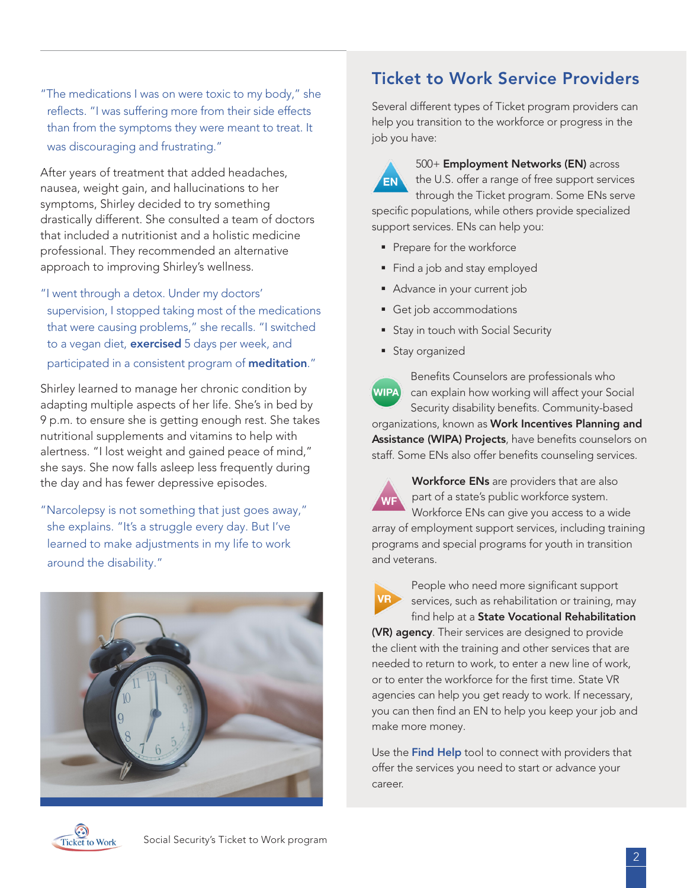"The medications I was on were toxic to my body," she reflects. "I was suffering more from their side effects than from the symptoms they were meant to treat. It was discouraging and frustrating."

After years of treatment that added headaches, nausea, weight gain, and hallucinations to her symptoms, Shirley decided to try something drastically different. She consulted a team of doctors that included a nutritionist and a holistic medicine professional. They recommended an alternative approach to improving Shirley's wellness.

"I went through a detox. Under my doctors' supervision, I stopped taking most of the medications that were causing problems," she recalls. "I switched to a vegan diet, [exercised](https://nccih.nih.gov/health/yoga/introduction.htm#hed4) 5 days per week, and participated in a consistent program of **[meditation](https://nccih.nih.gov/health/meditation)**."

Shirley learned to manage her chronic condition by adapting multiple aspects of her life. She's in bed by 9 p.m. to ensure she is getting enough rest. She takes nutritional supplements and vitamins to help with alertness. "I lost weight and gained peace of mind," she says. She now falls asleep less frequently during the day and has fewer depressive episodes.

"Narcolepsy is not something that just goes away," she explains. "It's a struggle every day. But I've learned to make adjustments in my life to work around the disability."



## Ticket to Work Service Providers

Several different types of Ticket program providers can help you transition to the workforce or progress in the job you have:

 $EN$ 

500+ Employment Networks (EN) across the U.S. offer a range of free support services

through the Ticket program. Some ENs serve specific populations, while others provide specialized support services. ENs can help you:

- Prepare for the workforce
- Find a job and stay employed
- Advance in your current job
- Get job accommodations
- **Stay in touch with Social Security**
- **Stay organized**



Benefits Counselors are professionals who can explain how working will affect your Social Security disability benefits. Community-based

organizations, known as Work Incentives Planning and Assistance (WIPA) Projects, have benefits counselors on staff. Some ENs also offer benefits counseling services.



Workforce ENs are providers that are also part of a state's public workforce system. Workforce ENs can give you access to a wide array of employment support services, including training programs and special programs for youth in transition and veterans.



People who need more significant support services, such as rehabilitation or training, may find help at a State Vocational Rehabilitation

(VR) agency. Their services are designed to provide the client with the training and other services that are needed to return to work, to enter a new line of work, or to enter the workforce for the first time. State VR agencies can help you get ready to work. If necessary, you can then find an EN to help you keep your job and make more money.

Use the [Find Help](https://www.choosework.net/findhelp) tool to connect with providers that offer the services you need to start or advance your career.

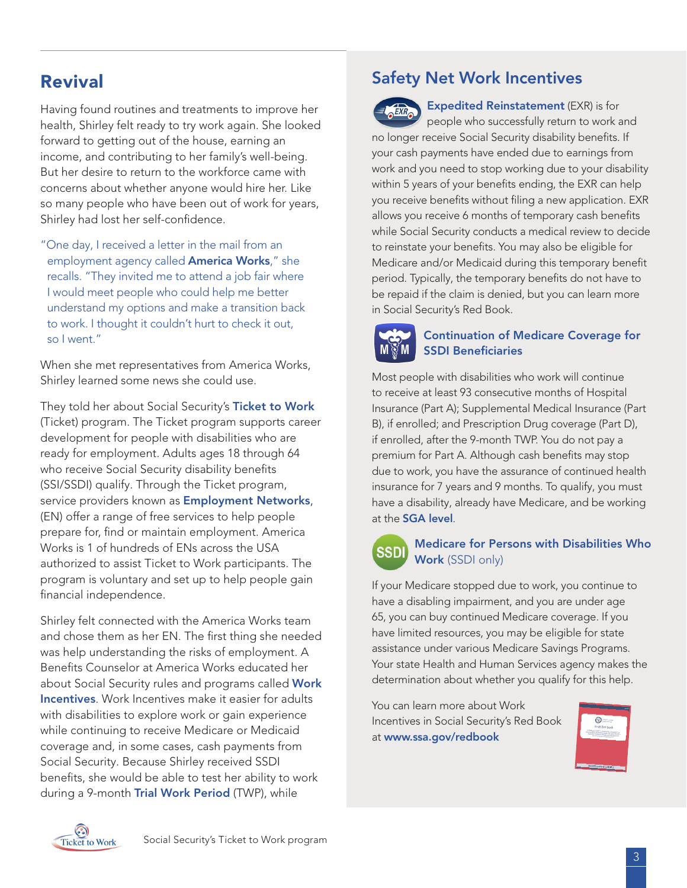# Revival

Having found routines and treatments to improve her health, Shirley felt ready to try work again. She looked forward to getting out of the house, earning an income, and contributing to her family's well-being. But her desire to return to the workforce came with concerns about whether anyone would hire her. Like so many people who have been out of work for years, Shirley had lost her self-confidence.

"One day, I received a letter in the mail from an employment agency called **[America Works](http://americaworks.com/)**," she recalls. "They invited me to attend a job fair where I would meet people who could help me better understand my options and make a transition back to work. I thought it couldn't hurt to check it out, so I went."

When she met representatives from America Works, Shirley learned some news she could use.

They told her about Social Security's [Ticket to Work](https://choosework.ssa.gov/about/how-it-works) (Ticket) program. The Ticket program supports career development for people with disabilities who are ready for employment. Adults ages 18 through 64 who receive Social Security disability benefits (SSI/SSDI) qualify. Through the Ticket program, service providers known as **[Employment Networks](https://choosework.ssa.gov/about/meet-your-employment-team/index.html)**, (EN) offer a range of free services to help people prepare for, find or maintain employment. America Works is 1 of hundreds of ENs across the USA authorized to assist Ticket to Work participants. The program is voluntary and set up to help people gain financial independence.

Shirley felt connected with the America Works team and chose them as her EN. The first thing she needed was help understanding the risks of employment. A Benefits Counselor at America Works educated her about Social Security rules and programs called Work [Incentives](https://choosework.ssa.gov/about/work-incentives/index.html). Work Incentives make it easier for adults with disabilities to explore work or gain experience while continuing to receive Medicare or Medicaid coverage and, in some cases, cash payments from Social Security. Because Shirley received SSDI benefits, she would be able to test her ability to work during a 9-month [Trial Work Period](https://www.ssa.gov/redbook/eng/ssdi-only-employment-supports.htm) (TWP), while

### Safety Net Work Incentives



Expedited Reinstatement (EXR) is for people who successfully return to work and no longer receive Social Security disability benefits. If

your cash payments have ended due to earnings from work and you need to stop working due to your disability within 5 years of your benefits ending, the EXR can help you receive benefits without filing a new application. EXR allows you receive 6 months of temporary cash benefits while Social Security conducts a medical review to decide to reinstate your benefits. You may also be eligible for Medicare and/or Medicaid during this temporary benefit period. Typically, the temporary benefits do not have to be repaid if the claim is denied, but you can learn more in Social Security's Red Book.



#### Continuation of Medicare Coverage for SSDI Beneficiaries

Most people with disabilities who work will continue to receive at least 93 consecutive months of Hospital Insurance (Part A); Supplemental Medical Insurance (Part B), if enrolled; and Prescription Drug coverage (Part D), if enrolled, after the 9-month TWP. You do not pay a premium for Part A. Although cash benefits may stop due to work, you have the assurance of continued health insurance for 7 years and 9 months. To qualify, you must have a disability, already have Medicare, and be working at the [SGA level](https://www.ssa.gov/oact/cola/sga.html).



#### Medicare for Persons with Disabilities Who Work (SSDI only)

If your Medicare stopped due to work, you continue to have a disabling impairment, and you are under age 65, you can buy continued Medicare coverage. If you have limited resources, you may be eligible for state assistance under various Medicare Savings Programs. Your state Health and Human Services agency makes the determination about whether you qualify for this help.

You can learn more about Work Incentives in Social Security's Red Book at [www.ssa.gov/redbook](http://www.ssa.gov/redbook)